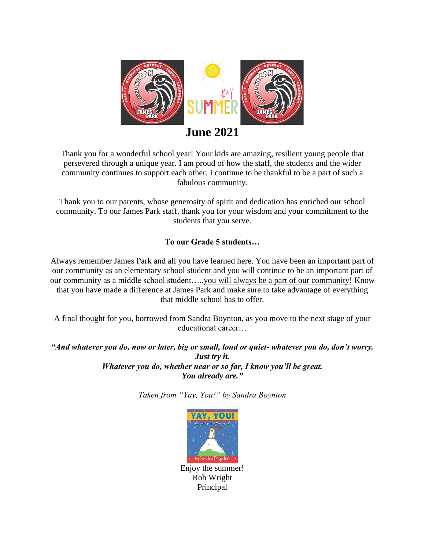

## **June 2021**

Thank you for a wonderful school year! Your kids are amazing, resilient young people that persevered through a unique year. I am proud of how the staff, the students and the wider community continues to support each other. I continue to be thankful to be a part of such a fabulous community.

Thank you to our parents, whose generosity of spirit and dedication has enriched our school community. To our James Park staff, thank you for your wisdom and your commitment to the students that you serve.

### **To our Grade 5 students…**

Always remember James Park and all you have learned here. You have been an important part of our community as an elementary school student and you will continue to be an important part of our community as a middle school student…..you will always be a part of our community! Know that you have made a difference at James Park and make sure to take advantage of everything that middle school has to offer.

A final thought for you, borrowed from Sandra Boynton, as you move to the next stage of your educational career…

*"And whatever you do, now or later, big or small, loud or quiet- whatever you do, don't worry. Just try it. Whatever you do, whether near or so far, I know you'll be great. You already are."*

*Taken from "Yay, You!" by Sandra Boynton*



Principal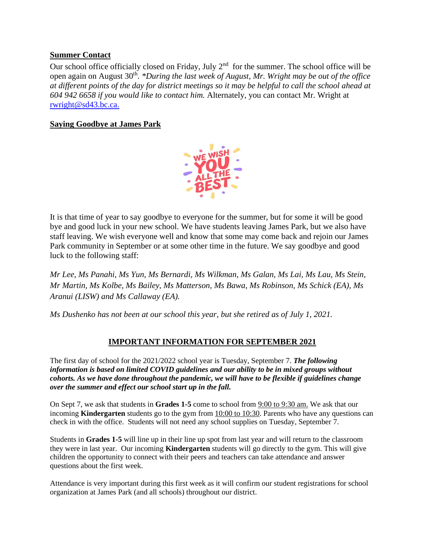#### **Summer Contact**

Our school office officially closed on Friday, July  $2<sup>nd</sup>$  for the summer. The school office will be open again on August 30<sup>th</sup>. *\*During the last week of August, Mr. Wright may be out of the office at different points of the day for district meetings so it may be helpful to call the school ahead at 604 942 6658 if you would like to contact him.* Alternately, you can contact Mr. Wright at rwright@sd43.bc.ca.

#### **Saying Goodbye at James Park**



It is that time of year to say goodbye to everyone for the summer, but for some it will be good bye and good luck in your new school. We have students leaving James Park, but we also have staff leaving. We wish everyone well and know that some may come back and rejoin our James Park community in September or at some other time in the future. We say goodbye and good luck to the following staff:

*Mr Lee, Ms Panahi, Ms Yun, Ms Bernardi, Ms Wilkman, Ms Galan, Ms Lai, Ms Lau, Ms Stein, Mr Martin, Ms Kolbe, Ms Bailey, Ms Matterson, Ms Bawa, Ms Robinson, Ms Schick (EA), Ms Aranui (LISW) and Ms Callaway (EA).* 

*Ms Dushenko has not been at our school this year, but she retired as of July 1, 2021.*

#### **IMPORTANT INFORMATION FOR SEPTEMBER 2021**

The first day of school for the 2021/2022 school year is Tuesday, September 7. *The following information is based on limited COVID guidelines and our ability to be in mixed groups without cohorts. As we have done throughout the pandemic, we will have to be flexible if guidelines change over the summer and effect our school start up in the fall.*

On Sept 7, we ask that students in **Grades 1-5** come to school from 9:00 to 9:30 am. We ask that our incoming **Kindergarten** students go to the gym from 10:00 to 10:30. Parents who have any questions can check in with the office. Students will not need any school supplies on Tuesday, September 7.

Students in **Grades 1-5** will line up in their line up spot from last year and will return to the classroom they were in last year. Our incoming **Kindergarten** students will go directly to the gym. This will give children the opportunity to connect with their peers and teachers can take attendance and answer questions about the first week.

Attendance is very important during this first week as it will confirm our student registrations for school organization at James Park (and all schools) throughout our district.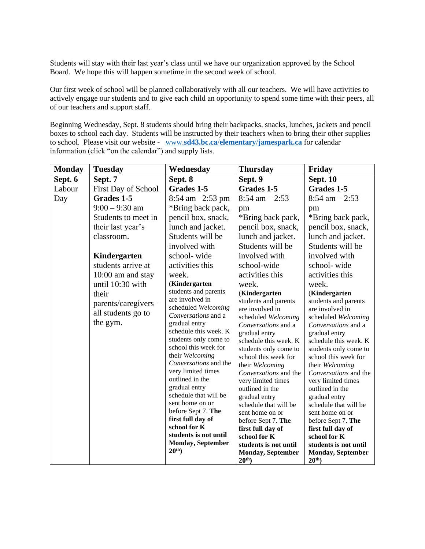Students will stay with their last year's class until we have our organization approved by the School Board. We hope this will happen sometime in the second week of school.

Our first week of school will be planned collaboratively with all our teachers. We will have activities to actively engage our students and to give each child an opportunity to spend some time with their peers, all of our teachers and support staff.

Beginning Wednesday, Sept. 8 students should bring their backpacks, snacks, lunches, jackets and pencil boxes to school each day. Students will be instructed by their teachers when to bring their other supplies to school. Please visit our website - www.**sd43.bc.ca**/**elementary**/**[jamespark.ca](http://www.sd43.bc.ca/elementary/jamespark.ca)** for calendar information (click "on the calendar") and supply lists.

| <b>Monday</b> | <b>Tuesday</b>             | Wednesday                            | <b>Thursday</b>                        | Friday                                 |
|---------------|----------------------------|--------------------------------------|----------------------------------------|----------------------------------------|
| Sept. 6       | Sept. 7                    | Sept. 8                              | Sept. 9                                | <b>Sept. 10</b>                        |
| Labour        | <b>First Day of School</b> | Grades 1-5                           | Grades 1-5                             | Grades 1-5                             |
| Day           | Grades 1-5                 | 8:54 am - 2:53 pm                    | $8:54$ am $-2:53$                      | $8:54$ am $-2:53$                      |
|               | $9:00 - 9:30$ am           | *Bring back pack,                    | pm                                     | pm                                     |
|               | Students to meet in        | pencil box, snack,                   | *Bring back pack,                      | *Bring back pack,                      |
|               | their last year's          | lunch and jacket.                    | pencil box, snack,                     | pencil box, snack,                     |
|               | classroom.                 | Students will be                     | lunch and jacket.                      | lunch and jacket.                      |
|               |                            | involved with                        | Students will be                       | Students will be                       |
|               | Kindergarten               | school-wide                          | involved with                          | involved with                          |
|               | students arrive at         | activities this                      | school-wide                            | school-wide                            |
|               | 10:00 am and stay          | week.                                | activities this                        | activities this                        |
|               | until 10:30 with           | (Kindergarten                        | week.                                  | week.                                  |
|               | their                      | students and parents                 | (Kindergarten                          | (Kindergarten                          |
|               | parents/caregivers -       | are involved in                      | students and parents                   | students and parents                   |
|               | all students go to         | scheduled Welcoming                  | are involved in                        | are involved in                        |
|               | the gym.                   | Conversations and a<br>gradual entry | scheduled Welcoming                    | scheduled Welcoming                    |
|               |                            | schedule this week. K                | Conversations and a                    | Conversations and a                    |
|               |                            | students only come to                | gradual entry<br>schedule this week. K | gradual entry<br>schedule this week. K |
|               |                            | school this week for                 | students only come to                  | students only come to                  |
|               |                            | their Welcoming                      | school this week for                   | school this week for                   |
|               |                            | Conversations and the                | their Welcoming                        | their Welcoming                        |
|               |                            | very limited times                   | Conversations and the                  | Conversations and the                  |
|               |                            | outlined in the                      | very limited times                     | very limited times                     |
|               |                            | gradual entry                        | outlined in the                        | outlined in the                        |
|               |                            | schedule that will be                | gradual entry                          | gradual entry                          |
|               |                            | sent home on or                      | schedule that will be                  | schedule that will be                  |
|               |                            | before Sept 7. The                   | sent home on or                        | sent home on or                        |
|               |                            | first full day of                    | before Sept 7. The                     | before Sept 7. The                     |
|               |                            | school for K                         | first full day of                      | first full day of                      |
|               |                            | students is not until                | school for K                           | school for K                           |
|               |                            | Monday, September<br>$20th$ )        | students is not until                  | students is not until                  |
|               |                            |                                      | Monday, September                      | <b>Monday, September</b>               |
|               |                            |                                      | $20th$ )                               | $20th$ )                               |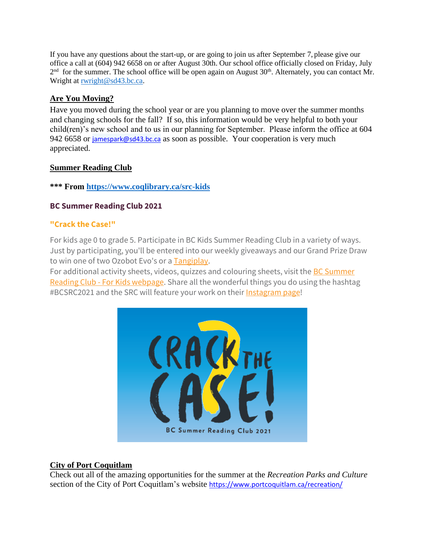If you have any questions about the start-up, or are going to join us after September 7, please give our office a call at (604) 942 6658 on or after August 30th. Our school office officially closed on Friday, July  $2<sup>nd</sup>$  for the summer. The school office will be open again on August 30<sup>th</sup>. Alternately, you can contact Mr. Wright at [rwright@sd43.bc.ca.](mailto:rwright@sd43.bc.ca)

#### **Are You Moving?**

Have you moved during the school year or are you planning to move over the summer months and changing schools for the fall? If so, this information would be very helpful to both your child(ren)'s new school and to us in our planning for September. Please inform the office at 604 942 6658 or [jamespark@sd43.bc.ca](mailto:jamespark@sd43.bc.ca) as soon as possible. Your cooperation is very much appreciated.

#### **Summer Reading Club**

#### **\*\*\* From<https://www.coqlibrary.ca/src-kids>**

#### **BC Summer Reading Club 2021**

#### **"Crack the Case!"**

For kids age 0 to grade 5. Participate in BC Kids Summer Reading Club in a variety of ways. Just by participating, you'll be entered into our weekly giveaways and our Grand Prize Draw to win one of two Ozobot Evo's or a [Tangiplay.](https://www.tangiplay.com/)

For additional activity sheets, videos, quizzes and colouring sheets, visit the **BC Summer** Reading Club - [For Kids webpage.](https://bcsrc.ca/kids/) Share all the wonderful things you do using the hashtag #BCSRC2021 and the SRC will feature your work on their [Instagram page!](https://www.instagram.com/bcsummerreadingclub/)



#### **City of Port Coquitlam**

Check out all of the amazing opportunities for the summer at the *Recreation Parks and Culture* section of the City of Port Coquitlam's website <https://www.portcoquitlam.ca/recreation/>